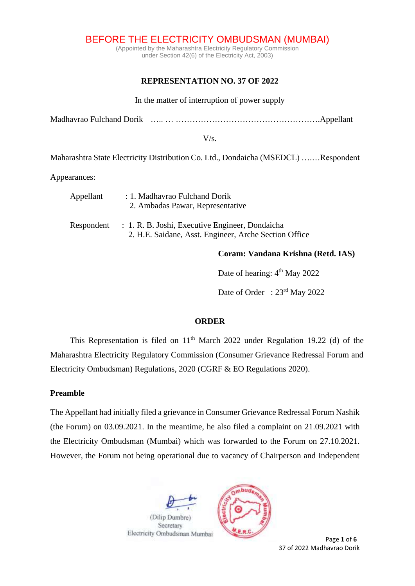BEFORE THE ELECTRICITY OMBUDSMAN (MUMBAI)

(Appointed by the Maharashtra Electricity Regulatory Commission under Section 42(6) of the Electricity Act, 2003)

## **REPRESENTATION NO. 37 OF 2022**

In the matter of interruption of power supply

Madhavrao Fulchand Dorik ….. … …………………………………………….Appellant

 $V/s$ .

Maharashtra State Electricity Distribution Co. Ltd., Dondaicha (MSEDCL) ….…Respondent

Appearances:

| Appellant  | : 1. Madhavrao Fulchand Dorik<br>2. Ambadas Pawar, Representative                                        |  |
|------------|----------------------------------------------------------------------------------------------------------|--|
| Respondent | : 1. R. B. Joshi, Executive Engineer, Dondaicha<br>2. H.E. Saidane, Asst. Engineer, Arche Section Office |  |

**Coram: Vandana Krishna (Retd. IAS)** 

Date of hearing:  $4<sup>th</sup>$  May 2022

Date of Order : 23<sup>rd</sup> May 2022

## **ORDER**

This Representation is filed on  $11<sup>th</sup>$  March 2022 under Regulation 19.22 (d) of the Maharashtra Electricity Regulatory Commission (Consumer Grievance Redressal Forum and Electricity Ombudsman) Regulations, 2020 (CGRF & EO Regulations 2020).

## **Preamble**

The Appellant had initially filed a grievance in Consumer Grievance Redressal Forum Nashik (the Forum) on 03.09.2021. In the meantime, he also filed a complaint on 21.09.2021 with the Electricity Ombudsman (Mumbai) which was forwarded to the Forum on 27.10.2021. However, the Forum not being operational due to vacancy of Chairperson and Independent



37 of 2022 Madhavrao Dorik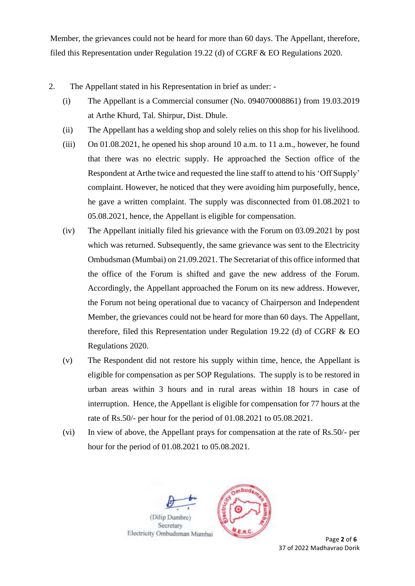Member, the grievances could not be heard for more than 60 days. The Appellant, therefore, filed this Representation under Regulation 19.22 (d) of CGRF & EO Regulations 2020.

- 2. The Appellant stated in his Representation in brief as under:
	- (i) The Appellant is a Commercial consumer (No. 094070008861) from 19.03.2019 at Arthe Khurd, Tal. Shirpur, Dist. Dhule.
	- (ii) The Appellant has a welding shop and solely relies on this shop for his livelihood.
	- (iii) On 01.08.2021, he opened his shop around 10 a.m. to 11 a.m., however, he found that there was no electric supply. He approached the Section office of the Respondent at Arthe twice and requested the line staff to attend to his 'Off Supply' complaint. However, he noticed that they were avoiding him purposefully, hence, he gave a written complaint. The supply was disconnected from 01.08.2021 to 05.08.2021, hence, the Appellant is eligible for compensation.
	- (iv) The Appellant initially filed his grievance with the Forum on 03.09.2021 by post which was returned. Subsequently, the same grievance was sent to the Electricity Ombudsman (Mumbai) on 21.09.2021. The Secretariat of this office informed that the office of the Forum is shifted and gave the new address of the Forum. Accordingly, the Appellant approached the Forum on its new address. However, the Forum not being operational due to vacancy of Chairperson and Independent Member, the grievances could not be heard for more than 60 days. The Appellant, therefore, filed this Representation under Regulation 19.22 (d) of CGRF & EO Regulations 2020.
	- (v) The Respondent did not restore his supply within time, hence, the Appellant is eligible for compensation as per SOP Regulations. The supply is to be restored in urban areas within 3 hours and in rural areas within 18 hours in case of interruption. Hence, the Appellant is eligible for compensation for 77 hours at the rate of Rs.50/- per hour for the period of 01.08.2021 to 05.08.2021.
	- (vi) In view of above, the Appellant prays for compensation at the rate of Rs.50/- per hour for the period of 01.08.2021 to 05.08.2021.



37 of 2022 Madhavrao Dorik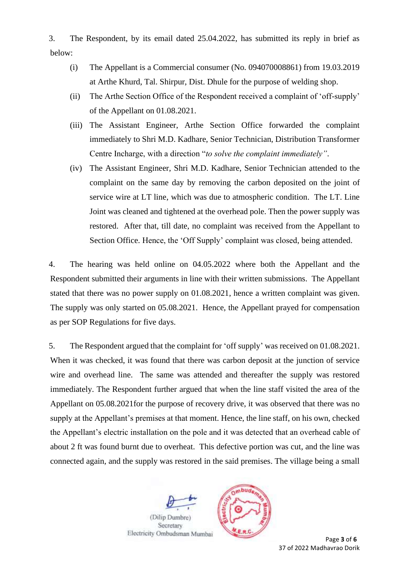3. The Respondent, by its email dated 25.04.2022, has submitted its reply in brief as below:

- (i) The Appellant is a Commercial consumer (No. 094070008861) from 19.03.2019 at Arthe Khurd, Tal. Shirpur, Dist. Dhule for the purpose of welding shop.
- (ii) The Arthe Section Office of the Respondent received a complaint of 'off-supply' of the Appellant on 01.08.2021.
- (iii) The Assistant Engineer, Arthe Section Office forwarded the complaint immediately to Shri M.D. Kadhare, Senior Technician, Distribution Transformer Centre Incharge, with a direction "*to solve the complaint immediately"*.
- (iv) The Assistant Engineer, Shri M.D. Kadhare, Senior Technician attended to the complaint on the same day by removing the carbon deposited on the joint of service wire at LT line, which was due to atmospheric condition. The LT. Line Joint was cleaned and tightened at the overhead pole. Then the power supply was restored. After that, till date, no complaint was received from the Appellant to Section Office. Hence, the 'Off Supply' complaint was closed, being attended.

4. The hearing was held online on 04.05.2022 where both the Appellant and the Respondent submitted their arguments in line with their written submissions. The Appellant stated that there was no power supply on 01.08.2021, hence a written complaint was given. The supply was only started on 05.08.2021. Hence, the Appellant prayed for compensation as per SOP Regulations for five days.

5. The Respondent argued that the complaint for 'off supply' was received on 01.08.2021. When it was checked, it was found that there was carbon deposit at the junction of service wire and overhead line. The same was attended and thereafter the supply was restored immediately. The Respondent further argued that when the line staff visited the area of the Appellant on 05.08.2021for the purpose of recovery drive, it was observed that there was no supply at the Appellant's premises at that moment. Hence, the line staff, on his own, checked the Appellant's electric installation on the pole and it was detected that an overhead cable of about 2 ft was found burnt due to overheat. This defective portion was cut, and the line was connected again, and the supply was restored in the said premises. The village being a small





**Page 3** of **6** 37 of 2022 Madhavrao Dorik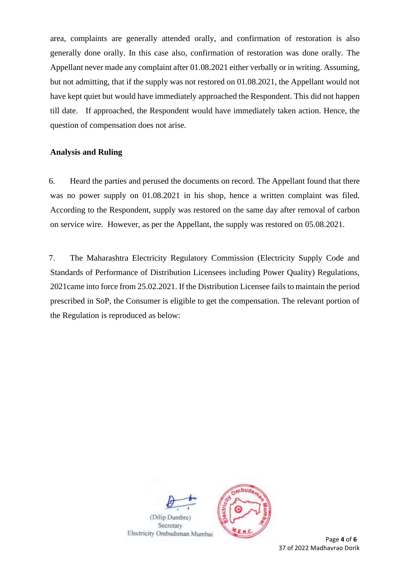area, complaints are generally attended orally, and confirmation of restoration is also generally done orally. In this case also, confirmation of restoration was done orally. The Appellant never made any complaint after 01.08.2021 either verbally or in writing. Assuming, but not admitting, that if the supply was not restored on 01.08.2021, the Appellant would not have kept quiet but would have immediately approached the Respondent. This did not happen till date. If approached, the Respondent would have immediately taken action. Hence, the question of compensation does not arise.

## **Analysis and Ruling**

6. Heard the parties and perused the documents on record. The Appellant found that there was no power supply on 01.08.2021 in his shop, hence a written complaint was filed. According to the Respondent, supply was restored on the same day after removal of carbon on service wire. However, as per the Appellant, the supply was restored on 05.08.2021.

7. The Maharashtra Electricity Regulatory Commission (Electricity Supply Code and Standards of Performance of Distribution Licensees including Power Quality) Regulations, 2021came into force from 25.02.2021. If the Distribution Licensee fails to maintain the period prescribed in SoP, the Consumer is eligible to get the compensation. The relevant portion of the Regulation is reproduced as below:





**Page 4** of **6** 37 of 2022 Madhavrao Dorik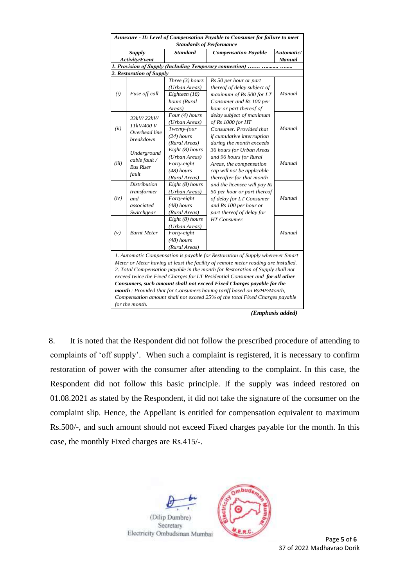| Annexure - II: Level of Compensation Payable to Consumer for failure to meet<br><b>Standards of Performance</b>                                                                                                                                                                                                                                                                                                                                                                                                                                                                                   |                                                                        |                                                                                  |                                                                                                                                                |                      |  |  |
|---------------------------------------------------------------------------------------------------------------------------------------------------------------------------------------------------------------------------------------------------------------------------------------------------------------------------------------------------------------------------------------------------------------------------------------------------------------------------------------------------------------------------------------------------------------------------------------------------|------------------------------------------------------------------------|----------------------------------------------------------------------------------|------------------------------------------------------------------------------------------------------------------------------------------------|----------------------|--|--|
| Supply<br>Activity/Event                                                                                                                                                                                                                                                                                                                                                                                                                                                                                                                                                                          |                                                                        | <b>Standard</b>                                                                  | <b>Compensation Payable</b>                                                                                                                    | Automatic/<br>Manual |  |  |
|                                                                                                                                                                                                                                                                                                                                                                                                                                                                                                                                                                                                   |                                                                        |                                                                                  |                                                                                                                                                |                      |  |  |
| 1. Provision of Supply (Including Temporary connection)<br>2. Restoration of Supply                                                                                                                                                                                                                                                                                                                                                                                                                                                                                                               |                                                                        |                                                                                  |                                                                                                                                                |                      |  |  |
| (i)                                                                                                                                                                                                                                                                                                                                                                                                                                                                                                                                                                                               | Fuse off call                                                          | Three (3) hours<br>(Urban Areas)<br>Eighteen (18)<br>hours (Rural<br>Areas)      | Rs 50 per hour or part<br>thereof of delay subject of<br>maximum of Rs 500 for LT<br>Consumer and Rs 100 per<br>hour or part thereof of        | Manual               |  |  |
| (ii)                                                                                                                                                                                                                                                                                                                                                                                                                                                                                                                                                                                              | 33kV/22kV/<br>11kV/400 V<br>Overhead line<br><b>breakdown</b>          | Four (4) hours<br>(Urban Areas)<br>Twenty-four<br>$(24)$ hours<br>(Rural Areas)  | delay subject of maximum<br>of Rs 1000 for HT<br>Consumer. Provided that<br>if cumulative interruption<br>during the month exceeds             | Manual               |  |  |
| (iii)                                                                                                                                                                                                                                                                                                                                                                                                                                                                                                                                                                                             | Underground<br>cable fault /<br><b>Bus Riser</b><br>fault              | Eight (8) hours<br>(Urban Areas)<br>Forty-eight<br>$(48)$ hours<br>(Rural Areas) | 36 hours for Urban Areas<br>and 96 hours for Rural<br>Areas, the compensation<br>cap will not be applicable<br>thereafter for that month       | Manual               |  |  |
| (iv)                                                                                                                                                                                                                                                                                                                                                                                                                                                                                                                                                                                              | <b>Distribution</b><br>transformer<br>and.<br>associated<br>Switchgear | Eight (8) hours<br>(Urban Areas)<br>Forty-eight<br>$(48)$ hours<br>(Rural Areas) | and the licensee will pay Rs<br>50 per hour or part thereof<br>of delay for LT Consumer<br>and Rs 100 per hour or<br>part thereof of delay for | Manual               |  |  |
| (v)                                                                                                                                                                                                                                                                                                                                                                                                                                                                                                                                                                                               | <b>Burnt Meter</b>                                                     | Eight (8) hours<br>(Urban Areas)<br>Forty-eight<br>$(48)$ hours<br>(Rural Areas) | HT Consumer.                                                                                                                                   | Manual               |  |  |
| 1. Automatic Compensation is payable for Restoration of Supply wherever Smart<br>Meter or Meter having at least the facility of remote meter reading are installed.<br>2. Total Compensation payable in the month for Restoration of Supply shall not<br>exceed twice the Fixed Charges for LT Residential Consumer and for all other<br>Consumers, such amount shall not exceed Fixed Charges payable for the<br><b>month</b> : Provided that for Consumers having tariff based on Rs/HP/Month,<br>Compensation amount shall not exceed 25% of the total Fixed Charges payable<br>for the month. |                                                                        |                                                                                  |                                                                                                                                                |                      |  |  |

*(Emphasis added)*

8. It is noted that the Respondent did not follow the prescribed procedure of attending to complaints of 'off supply'. When such a complaint is registered, it is necessary to confirm restoration of power with the consumer after attending to the complaint. In this case, the Respondent did not follow this basic principle. If the supply was indeed restored on 01.08.2021 as stated by the Respondent, it did not take the signature of the consumer on the complaint slip. Hence, the Appellant is entitled for compensation equivalent to maximum Rs.500/-, and such amount should not exceed Fixed charges payable for the month. In this case, the monthly Fixed charges are Rs.415/-.



37 of 2022 Madhavrao Dorik